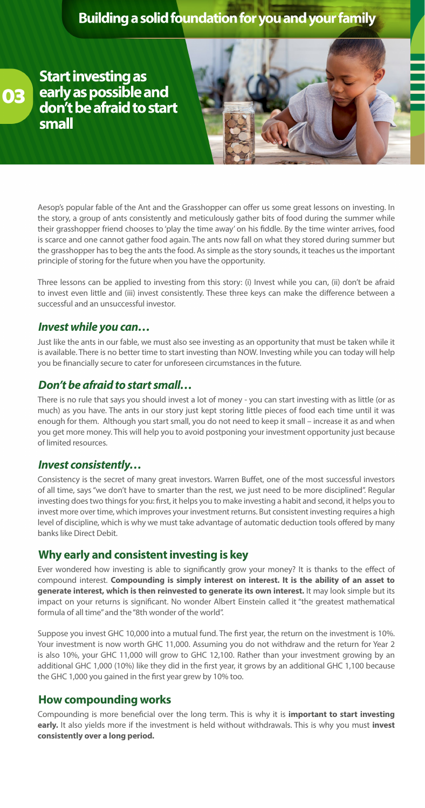# **Building a solid foundation for you and your family**

**Start investing as** early as possible and don't be afraid to start small

03

#### *Invest while you can…*

## *Don't be afraid to start small…*

#### *Invest consistently…*

### **Why early and consistent investing is key**

#### **How compounding works**

Aesop's popular fable of the Ant and the Grasshopper can offer us some great lessons on investing. In the story, a group of ants consistently and meticulously gather bits of food during the summer while their grasshopper friend chooses to 'play the time away' on his fiddle. By the time winter arrives, food is scarce and one cannot gather food again. The ants now fall on what they stored during summer but the grasshopper has to beg the ants the food. As simple as the story sounds, it teaches us the important principle of storing for the future when you have the opportunity.

Three lessons can be applied to investing from this story: (i) Invest while you can, (ii) don't be afraid to invest even little and (iii) invest consistently. These three keys can make the difference between a successful and an unsuccessful investor.

Just like the ants in our fable, we must also see investing as an opportunity that must be taken while it is available. There is no better time to start investing than NOW. Investing while you can today will help you be financially secure to cater for unforeseen circumstances in the future.

There is no rule that says you should invest a lot of money - you can start investing with as little (or as much) as you have. The ants in our story just kept storing little pieces of food each time until it was enough for them. Although you start small, you do not need to keep it small – increase it as and when you get more money. This will help you to avoid postponing your investment opportunity just because of limited resources.

Consistency is the secret of many great investors. Warren Buffet, one of the most successful investors of all time, says "we don't have to smarter than the rest, we just need to be more disciplined". Regular investing does two things for you: first, it helps you to make investing a habit and second, it helps you to invest more over time, which improves your investment returns. But consistent investing requires a high level of discipline, which is why we must take advantage of automatic deduction tools offered by many banks like Direct Debit.

Ever wondered how investing is able to significantly grow your money? It is thanks to the effect of compound interest. **Compounding is simply interest on interest. It is the ability of an asset to generate interest, which is then reinvested to generate its own interest.** It may look simple but its impact on your returns is significant. No wonder Albert Einstein called it "the greatest mathematical formula of all time" and the "8th wonder of the world".

Suppose you invest GHC 10,000 into a mutual fund. The first year, the return on the investment is 10%.

Your investment is now worth GHC 11,000. Assuming you do not withdraw and the return for Year 2 is also 10%, your GHC 11,000 will grow to GHC 12,100. Rather than your investment growing by an additional GHC 1,000 (10%) like they did in the first year, it grows by an additional GHC 1,100 because the GHC 1,000 you gained in the first year grew by 10% too.

Compounding is more beneficial over the long term. This is why it is **important to start investing early.** It also yields more if the investment is held without withdrawals. This is why you must **invest consistently over a long period.**